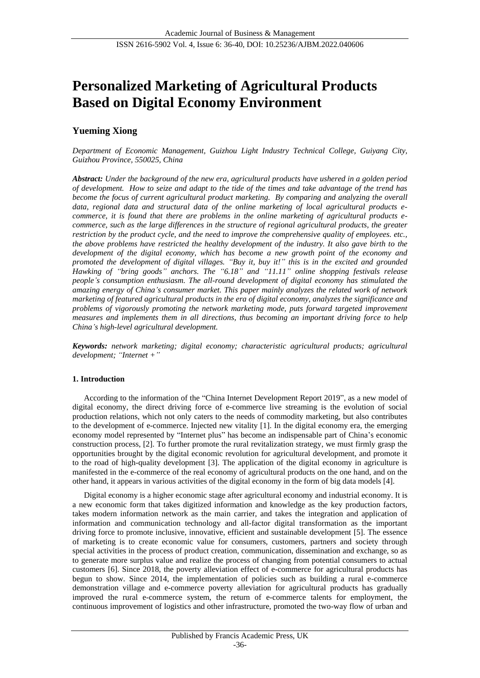# **Personalized Marketing of Agricultural Products Based on Digital Economy Environment**

# **Yueming Xiong**

*Department of Economic Management, Guizhou Light Industry Technical College, Guiyang City, Guizhou Province, 550025, China*

*Abstract: Under the background of the new era, agricultural products have ushered in a golden period of development. How to seize and adapt to the tide of the times and take advantage of the trend has become the focus of current agricultural product marketing. By comparing and analyzing the overall data, regional data and structural data of the online marketing of local agricultural products ecommerce, it is found that there are problems in the online marketing of agricultural products ecommerce, such as the large differences in the structure of regional agricultural products, the greater restriction by the product cycle, and the need to improve the comprehensive quality of employees. etc., the above problems have restricted the healthy development of the industry. It also gave birth to the development of the digital economy, which has become a new growth point of the economy and promoted the development of digital villages. "Buy it, buy it!" this is in the excited and grounded Hawking of "bring goods" anchors. The "6.18" and "11.11" online shopping festivals release people's consumption enthusiasm. The all-round development of digital economy has stimulated the amazing energy of China's consumer market. This paper mainly analyzes the related work of network marketing of featured agricultural products in the era of digital economy, analyzes the significance and problems of vigorously promoting the network marketing mode, puts forward targeted improvement measures and implements them in all directions, thus becoming an important driving force to help China's high-level agricultural development.*

*Keywords: network marketing; digital economy; characteristic agricultural products; agricultural development; "Internet +"*

# **1. Introduction**

According to the information of the "China Internet Development Report 2019", as a new model of digital economy, the direct driving force of e-commerce live streaming is the evolution of social production relations, which not only caters to the needs of commodity marketing, but also contributes to the development of e-commerce. Injected new vitality [1]. In the digital economy era, the emerging economy model represented by "Internet plus" has become an indispensable part of China's economic construction process, [2]. To further promote the rural revitalization strategy, we must firmly grasp the opportunities brought by the digital economic revolution for agricultural development, and promote it to the road of high-quality development [3]. The application of the digital economy in agriculture is manifested in the e-commerce of the real economy of agricultural products on the one hand, and on the other hand, it appears in various activities of the digital economy in the form of big data models [4].

Digital economy is a higher economic stage after agricultural economy and industrial economy. It is a new economic form that takes digitized information and knowledge as the key production factors, takes modern information network as the main carrier, and takes the integration and application of information and communication technology and all-factor digital transformation as the important driving force to promote inclusive, innovative, efficient and sustainable development [5]. The essence of marketing is to create economic value for consumers, customers, partners and society through special activities in the process of product creation, communication, dissemination and exchange, so as to generate more surplus value and realize the process of changing from potential consumers to actual customers [6]. Since 2018, the poverty alleviation effect of e-commerce for agricultural products has begun to show. Since 2014, the implementation of policies such as building a rural e-commerce demonstration village and e-commerce poverty alleviation for agricultural products has gradually improved the rural e-commerce system, the return of e-commerce talents for employment, the continuous improvement of logistics and other infrastructure, promoted the two-way flow of urban and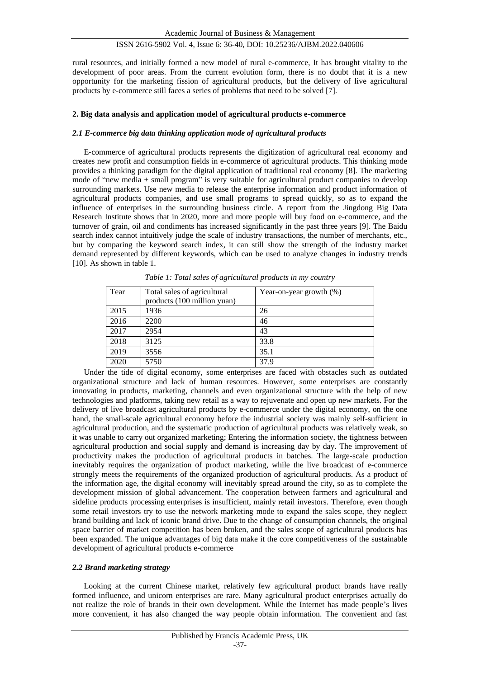# ISSN 2616-5902 Vol. 4, Issue 6: 36-40, DOI: 10.25236/AJBM.2022.040606

rural resources, and initially formed a new model of rural e-commerce, It has brought vitality to the development of poor areas. From the current evolution form, there is no doubt that it is a new opportunity for the marketing fission of agricultural products, but the delivery of live agricultural products by e-commerce still faces a series of problems that need to be solved [7].

#### **2. Big data analysis and application model of agricultural products e-commerce**

#### *2.1 E-commerce big data thinking application mode of agricultural products*

E-commerce of agricultural products represents the digitization of agricultural real economy and creates new profit and consumption fields in e-commerce of agricultural products. This thinking mode provides a thinking paradigm for the digital application of traditional real economy [8]. The marketing mode of "new media + small program" is very suitable for agricultural product companies to develop surrounding markets. Use new media to release the enterprise information and product information of agricultural products companies, and use small programs to spread quickly, so as to expand the influence of enterprises in the surrounding business circle. A report from the Jingdong Big Data Research Institute shows that in 2020, more and more people will buy food on e-commerce, and the turnover of grain, oil and condiments has increased significantly in the past three years [9]. The Baidu search index cannot intuitively judge the scale of industry transactions, the number of merchants, etc., but by comparing the keyword search index, it can still show the strength of the industry market demand represented by different keywords, which can be used to analyze changes in industry trends [10]. As shown in table 1.

| Tear | Total sales of agricultural<br>products (100 million yuan) | Year-on-year growth (%) |
|------|------------------------------------------------------------|-------------------------|
| 2015 | 1936                                                       | 26                      |
| 2016 | 2200                                                       | 46                      |
| 2017 | 2954                                                       | 43                      |
| 2018 | 3125                                                       | 33.8                    |
| 2019 | 3556                                                       | 35.1                    |
| 2020 | 5750                                                       | 37.9                    |

*Table 1: Total sales of agricultural products in my country*

Under the tide of digital economy, some enterprises are faced with obstacles such as outdated organizational structure and lack of human resources. However, some enterprises are constantly innovating in products, marketing, channels and even organizational structure with the help of new technologies and platforms, taking new retail as a way to rejuvenate and open up new markets. For the delivery of live broadcast agricultural products by e-commerce under the digital economy, on the one hand, the small-scale agricultural economy before the industrial society was mainly self-sufficient in agricultural production, and the systematic production of agricultural products was relatively weak, so it was unable to carry out organized marketing; Entering the information society, the tightness between agricultural production and social supply and demand is increasing day by day. The improvement of productivity makes the production of agricultural products in batches. The large-scale production inevitably requires the organization of product marketing, while the live broadcast of e-commerce strongly meets the requirements of the organized production of agricultural products. As a product of the information age, the digital economy will inevitably spread around the city, so as to complete the development mission of global advancement. The cooperation between farmers and agricultural and sideline products processing enterprises is insufficient, mainly retail investors. Therefore, even though some retail investors try to use the network marketing mode to expand the sales scope, they neglect brand building and lack of iconic brand drive. Due to the change of consumption channels, the original space barrier of market competition has been broken, and the sales scope of agricultural products has been expanded. The unique advantages of big data make it the core competitiveness of the sustainable development of agricultural products e-commerce

# *2.2 Brand marketing strategy*

Looking at the current Chinese market, relatively few agricultural product brands have really formed influence, and unicorn enterprises are rare. Many agricultural product enterprises actually do not realize the role of brands in their own development. While the Internet has made people's lives more convenient, it has also changed the way people obtain information. The convenient and fast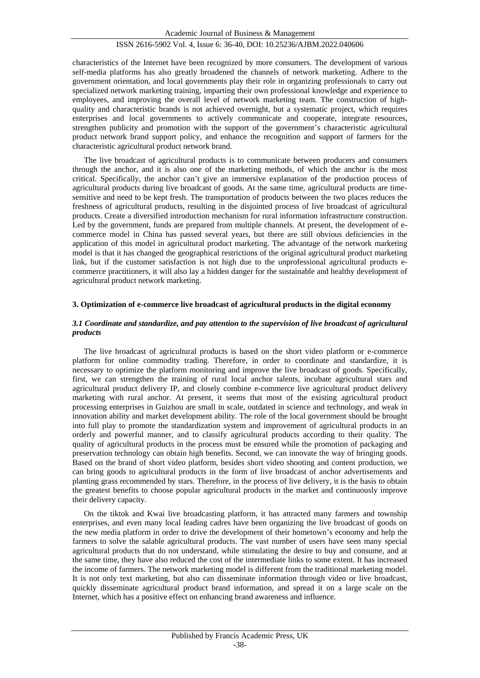# ISSN 2616-5902 Vol. 4, Issue 6: 36-40, DOI: 10.25236/AJBM.2022.040606

characteristics of the Internet have been recognized by more consumers. The development of various self-media platforms has also greatly broadened the channels of network marketing. Adhere to the government orientation, and local governments play their role in organizing professionals to carry out specialized network marketing training, imparting their own professional knowledge and experience to employees, and improving the overall level of network marketing team. The construction of highquality and characteristic brands is not achieved overnight, but a systematic project, which requires enterprises and local governments to actively communicate and cooperate, integrate resources, strengthen publicity and promotion with the support of the government's characteristic agricultural product network brand support policy, and enhance the recognition and support of farmers for the characteristic agricultural product network brand.

The live broadcast of agricultural products is to communicate between producers and consumers through the anchor, and it is also one of the marketing methods, of which the anchor is the most critical. Specifically, the anchor can't give an immersive explanation of the production process of agricultural products during live broadcast of goods. At the same time, agricultural products are timesensitive and need to be kept fresh. The transportation of products between the two places reduces the freshness of agricultural products, resulting in the disjointed process of live broadcast of agricultural products. Create a diversified introduction mechanism for rural information infrastructure construction. Led by the government, funds are prepared from multiple channels. At present, the development of ecommerce model in China has passed several years, but there are still obvious deficiencies in the application of this model in agricultural product marketing. The advantage of the network marketing model is that it has changed the geographical restrictions of the original agricultural product marketing link, but if the customer satisfaction is not high due to the unprofessional agricultural products ecommerce practitioners, it will also lay a hidden danger for the sustainable and healthy development of agricultural product network marketing.

#### **3. Optimization of e-commerce live broadcast of agricultural products in the digital economy**

#### *3.1 Coordinate and standardize, and pay attention to the supervision of live broadcast of agricultural products*

The live broadcast of agricultural products is based on the short video platform or e-commerce platform for online commodity trading. Therefore, in order to coordinate and standardize, it is necessary to optimize the platform monitoring and improve the live broadcast of goods. Specifically, first, we can strengthen the training of rural local anchor talents, incubate agricultural stars and agricultural product delivery IP, and closely combine e-commerce live agricultural product delivery marketing with rural anchor. At present, it seems that most of the existing agricultural product processing enterprises in Guizhou are small in scale, outdated in science and technology, and weak in innovation ability and market development ability. The role of the local government should be brought into full play to promote the standardization system and improvement of agricultural products in an orderly and powerful manner, and to classify agricultural products according to their quality. The quality of agricultural products in the process must be ensured while the promotion of packaging and preservation technology can obtain high benefits. Second, we can innovate the way of bringing goods. Based on the brand of short video platform, besides short video shooting and content production, we can bring goods to agricultural products in the form of live broadcast of anchor advertisements and planting grass recommended by stars. Therefore, in the process of live delivery, it is the basis to obtain the greatest benefits to choose popular agricultural products in the market and continuously improve their delivery capacity.

On the tiktok and Kwai live broadcasting platform, it has attracted many farmers and township enterprises, and even many local leading cadres have been organizing the live broadcast of goods on the new media platform in order to drive the development of their hometown's economy and help the farmers to solve the salable agricultural products. The vast number of users have seen many special agricultural products that do not understand, while stimulating the desire to buy and consume, and at the same time, they have also reduced the cost of the intermediate links to some extent. It has increased the income of farmers. The network marketing model is different from the traditional marketing model. It is not only text marketing, but also can disseminate information through video or live broadcast, quickly disseminate agricultural product brand information, and spread it on a large scale on the Internet, which has a positive effect on enhancing brand awareness and influence.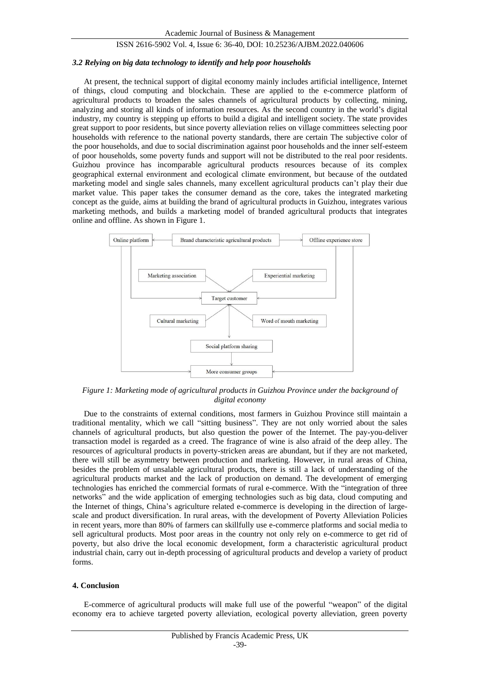#### ISSN 2616-5902 Vol. 4, Issue 6: 36-40, DOI: 10.25236/AJBM.2022.040606

#### *3.2 Relying on big data technology to identify and help poor households*

At present, the technical support of digital economy mainly includes artificial intelligence, Internet of things, cloud computing and blockchain. These are applied to the e-commerce platform of agricultural products to broaden the sales channels of agricultural products by collecting, mining, analyzing and storing all kinds of information resources. As the second country in the world's digital industry, my country is stepping up efforts to build a digital and intelligent society. The state provides great support to poor residents, but since poverty alleviation relies on village committees selecting poor households with reference to the national poverty standards, there are certain The subjective color of the poor households, and due to social discrimination against poor households and the inner self-esteem of poor households, some poverty funds and support will not be distributed to the real poor residents. Guizhou province has incomparable agricultural products resources because of its complex geographical external environment and ecological climate environment, but because of the outdated marketing model and single sales channels, many excellent agricultural products can't play their due market value. This paper takes the consumer demand as the core, takes the integrated marketing concept as the guide, aims at building the brand of agricultural products in Guizhou, integrates various marketing methods, and builds a marketing model of branded agricultural products that integrates online and offline. As shown in Figure 1.



*Figure 1: Marketing mode of agricultural products in Guizhou Province under the background of digital economy*

Due to the constraints of external conditions, most farmers in Guizhou Province still maintain a traditional mentality, which we call "sitting business". They are not only worried about the sales channels of agricultural products, but also question the power of the Internet. The pay-you-deliver transaction model is regarded as a creed. The fragrance of wine is also afraid of the deep alley. The resources of agricultural products in poverty-stricken areas are abundant, but if they are not marketed, there will still be asymmetry between production and marketing. However, in rural areas of China, besides the problem of unsalable agricultural products, there is still a lack of understanding of the agricultural products market and the lack of production on demand. The development of emerging technologies has enriched the commercial formats of rural e-commerce. With the "integration of three networks" and the wide application of emerging technologies such as big data, cloud computing and the Internet of things, China's agriculture related e-commerce is developing in the direction of largescale and product diversification. In rural areas, with the development of Poverty Alleviation Policies in recent years, more than 80% of farmers can skillfully use e-commerce platforms and social media to sell agricultural products. Most poor areas in the country not only rely on e-commerce to get rid of poverty, but also drive the local economic development, form a characteristic agricultural product industrial chain, carry out in-depth processing of agricultural products and develop a variety of product forms.

#### **4. Conclusion**

E-commerce of agricultural products will make full use of the powerful "weapon" of the digital economy era to achieve targeted poverty alleviation, ecological poverty alleviation, green poverty